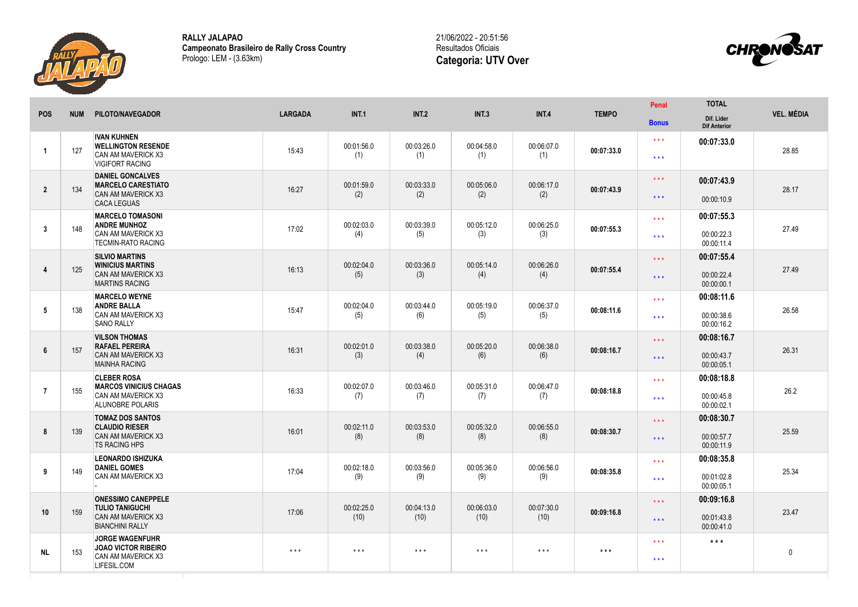

**RALLY JALAPAO Campeonato Brasileiro de Rally Cross Country** Prologo: LEM - (3.63km)

21/06/2022 - 20:51:56 Resultados Oficiais **Categoria: UTV Over**



|                |            |                                                                                                             |                         |                         |                         |                         |                         |                   | Penal                                    | <b>TOTAL</b>                           |                   |
|----------------|------------|-------------------------------------------------------------------------------------------------------------|-------------------------|-------------------------|-------------------------|-------------------------|-------------------------|-------------------|------------------------------------------|----------------------------------------|-------------------|
| <b>POS</b>     | <b>NUM</b> | PILOTO/NAVEGADOR                                                                                            | <b>LARGADA</b>          | INT.1                   | INT.2                   | INT.3                   | INT.4                   | <b>TEMPO</b>      | <b>Bonus</b>                             | Dif. Lider<br><b>Dif Anterior</b>      | <b>VEL. MÉDIA</b> |
| -1             | 127        | <b>IVAN KUHNEN</b><br><b>WELLINGTON RESENDE</b><br>CAN AM MAVERICK X3<br><b>VIGIFORT RACING</b>             | 15:43                   | 00:01:56.0<br>(1)       | 00:03:26.0<br>(1)       | 00:04:58.0<br>(1)       | 00:06:07.0<br>(1)       | 00:07:33.0        | $\star \star \star$<br>$\star\star\star$ | 00:07:33.0                             | 28.85             |
| $\overline{2}$ | 134        | <b>DANIEL GONCALVES</b><br><b>MARCELO CARESTIATO</b><br>CAN AM MAVERICK X3<br><b>CACA LEGUAS</b>            | 16:27                   | 00:01:59.0<br>(2)       | 00:03:33.0<br>(2)       | 00:05:06.0<br>(2)       | 00:06:17.0<br>(2)       | 00:07:43.9        | $\star\star\star$<br>$\star\star\star$   | 00:07:43.9<br>00:00:10.9               | 28.17             |
| $\mathbf{3}$   | 148        | <b>MARCELO TOMASONI</b><br><b>ANDRE MUNHOZ</b><br><b>CAN AM MAVERICK X3</b><br><b>TECMIN-RATO RACING</b>    | 17:02                   | 00:02:03.0<br>(4)       | 00:03:39.0<br>(5)       | 00:05:12.0<br>(3)       | 00:06:25.0<br>(3)       | 00:07:55.3        | $\star \star \star$<br>$***$             | 00:07:55.3<br>00:00:22.3<br>00:00:11.4 | 27.49             |
| 4              | 125        | <b>SILVIO MARTINS</b><br><b>WINICIUS MARTINS</b><br><b>CAN AM MAVERICK X3</b><br><b>MARTINS RACING</b>      | 16:13                   | 00:02:04.0<br>(5)       | 00:03:36.0<br>(3)       | 00:05:14.0<br>(4)       | 00:06:26.0<br>(4)       | 00:07:55.4        | $\star\star\star$<br>$\star\star\star$   | 00:07:55.4<br>00:00:22.4<br>00:00:00.1 | 27.49             |
| 5              | 138        | <b>MARCELO WEYNE</b><br><b>ANDRE BALLA</b><br><b>CAN AM MAVERICK X3</b><br><b>SANO RALLY</b>                | 15:47                   | 00:02:04.0<br>(5)       | 00:03:44.0<br>(6)       | 00:05:19.0<br>(5)       | 00:06:37.0<br>(5)       | 00:08:11.6        | $\star \star \star$<br>$\star\star\star$ | 00:08:11.6<br>00:00:38.6<br>00:00:16.2 | 26.58             |
| 6              | 157        | <b>VILSON THOMAS</b><br><b>RAFAEL PEREIRA</b><br><b>CAN AM MAVERICK X3</b><br><b>MAINHA RACING</b>          | 16:31                   | 00:02:01.0<br>(3)       | 00:03:38.0<br>(4)       | 00:05:20.0<br>(6)       | 00:06:38.0<br>(6)       | 00:08:16.7        | $\star\star\star$<br>$***$               | 00:08:16.7<br>00:00:43.7<br>00:00:05.1 | 26.31             |
| $\overline{7}$ | 155        | <b>CLEBER ROSA</b><br><b>MARCOS VINICIUS CHAGAS</b><br><b>CAN AM MAVERICK X3</b><br><b>ALUNOBRE POLARIS</b> | 16:33                   | 00:02:07.0<br>(7)       | 00:03:46.0<br>(7)       | 00:05:31.0<br>(7)       | 00:06:47.0<br>(7)       | 00:08:18.8        | $***$<br>$\star \star \star$             | 00:08:18.8<br>00:00:45.8<br>00:00:02.1 | 26.2              |
| 8              | 139        | <b>TOMAZ DOS SANTOS</b><br><b>CLAUDIO RIESER</b><br>CAN AM MAVERICK X3<br><b>TS RACING HPS</b>              | 16:01                   | 00:02:11.0<br>(8)       | 00:03:53.0<br>(8)       | 00:05:32.0<br>(8)       | 00:06:55.0<br>(8)       | 00:08:30.7        | $\star\star\star$<br>$\star\star\star$   | 00:08:30.7<br>00:00:57.7<br>00:00:11.9 | 25.59             |
| 9              | 149        | <b>LEONARDO ISHIZUKA</b><br><b>DANIEL GOMES</b><br><b>CAN AM MAVERICK X3</b>                                | 17:04                   | 00:02:18.0<br>(9)       | 00:03:56.0<br>(9)       | 00:05:36.0<br>(9)       | 00:06:56.0<br>(9)       | 00:08:35.8        | $\star\star\star$<br>$***$               | 00:08:35.8<br>00:01:02.8<br>00:00:05.1 | 25.34             |
| 10             | 159        | <b>ONESSIMO CANEPPELE</b><br><b>TULIO TANIGUCHI</b><br><b>CAN AM MAVERICK X3</b><br><b>BIANCHINI RALLY</b>  | 17:06                   | 00:02:25.0<br>(10)      | 00:04:13.0<br>(10)      | 00:06:03.0<br>(10)      | 00:07:30.0<br>(10)      | 00:09:16.8        | $\star \star \star$<br>$* * *$           | 00:09:16.8<br>00:01:43.8<br>00:00:41.0 | 23.47             |
| <b>NL</b>      | 153        | <b>JORGE WAGENFUHR</b><br><b>JOAO VICTOR RIBEIRO</b><br>CAN AM MAVERICK X3<br>LIFESIL.COM                   | $\star$ $\star$ $\star$ | $\star$ $\star$ $\star$ | $\star$ $\star$ $\star$ | $\star$ $\star$ $\star$ | $\star$ $\star$ $\star$ | $\star\star\star$ | $\star \star \star$<br>$\star\star\star$ | $***$                                  | $\mathbf 0$       |